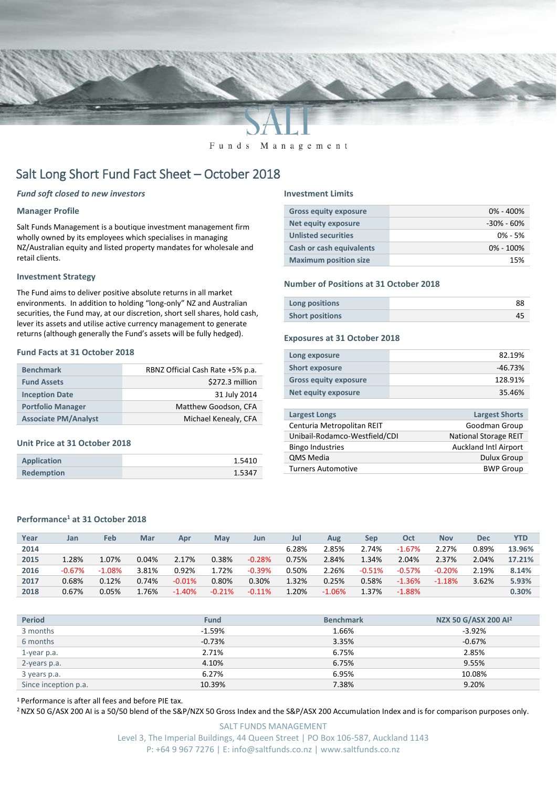

Funds Management

# Salt Long Short Fund Fact Sheet – October 2018

## *Fund soft closed to new investors*

#### **Manager Profile**

Salt Funds Management is a boutique investment management firm wholly owned by its employees which specialises in managing NZ/Australian equity and listed property mandates for wholesale and retail clients.

#### **Investment Strategy**

The Fund aims to deliver positive absolute returns in all market environments. In addition to holding "long-only" NZ and Australian securities, the Fund may, at our discretion, short sell shares, hold cash, lever its assets and utilise active currency management to generate returns (although generally the Fund's assets will be fully hedged).

# **Fund Facts at 31 October 2018**

| <b>Benchmark</b>            | RBNZ Official Cash Rate +5% p.a. |
|-----------------------------|----------------------------------|
| <b>Fund Assets</b>          | \$272.3 million                  |
| <b>Inception Date</b>       | 31 July 2014                     |
| <b>Portfolio Manager</b>    | Matthew Goodson, CFA             |
| <b>Associate PM/Analyst</b> | Michael Kenealy, CFA             |

#### **Unit Price at 31 October 2018**

| <b>Application</b> | 1.5410 |
|--------------------|--------|
| <b>Redemption</b>  | 1.5347 |

#### **Investment Limits**

| <b>Gross equity exposure</b>    | $0\% - 400\%$  |
|---------------------------------|----------------|
| <b>Net equity exposure</b>      | $-30\% - 60\%$ |
| <b>Unlisted securities</b>      | $0\% - 5\%$    |
| <b>Cash or cash equivalents</b> | $0\% - 100\%$  |
| <b>Maximum position size</b>    | 15%            |

#### **Number of Positions at 31 October 2018**

| Long positions         | 88 |
|------------------------|----|
| <b>Short positions</b> |    |

#### **Exposures at 31 October 2018**

| Long exposure                | 82.19%    |
|------------------------------|-----------|
| <b>Short exposure</b>        | $-46.73%$ |
| <b>Gross equity exposure</b> | 128.91%   |
| Net equity exposure          | 35.46%    |

| Largest Longs                 | <b>Largest Shorts</b>        |
|-------------------------------|------------------------------|
| Centuria Metropolitan REIT    | Goodman Group                |
| Unibail-Rodamco-Westfield/CDI | <b>National Storage REIT</b> |
| <b>Bingo Industries</b>       | <b>Auckland Intl Airport</b> |
| <b>QMS Media</b>              | <b>Dulux Group</b>           |
| <b>Turners Automotive</b>     | <b>BWP Group</b>             |
|                               |                              |

# **Performance<sup>1</sup> at 31 October 2018**

| Year | Jan       | Feb      | Mar   | Apr      | May      | Jun      | Jul   | Aug      | Sep      | Oct       | <b>Nov</b> | <b>Dec</b> | YTD    |
|------|-----------|----------|-------|----------|----------|----------|-------|----------|----------|-----------|------------|------------|--------|
| 2014 |           |          |       |          |          |          | 6.28% | 2.85%    | 2.74%    | $-1.67%$  | 2.27%      | 0.89%      | 13.96% |
| 2015 | 1.28%     | 1.07%    | 0.04% | 2.17%    | 0.38%    | $-0.28%$ | 0.75% | 2.84%    | 1.34%    | 2.04%     | 2.37%      | 2.04%      | 17.21% |
| 2016 | $-0.67\%$ | $-1.08%$ | 3.81% | 0.92%    | 1.72%    | $-0.39%$ | 0.50% | 2.26%    | $-0.51%$ | $-0.57%$  | $-0.20%$   | 2.19%      | 8.14%  |
| 2017 | 0.68%     | 0.12%    | 0.74% | $-0.01%$ | 0.80%    | 0.30%    | 1.32% | 0.25%    | 0.58%    | $-1.36%$  | $-1.18%$   | 3.62%      | 5.93%  |
| 2018 | 0.67%     | 0.05%    | 1.76% | $-1.40%$ | $-0.21%$ | $-0.11%$ | 1.20% | $-1.06%$ | 1.37%    | $-1.88\%$ |            |            | 0.30%  |

| <b>Period</b>        | <b>Fund</b> | <b>Benchmark</b> | NZX 50 G/ASX 200 Al <sup>2</sup> |
|----------------------|-------------|------------------|----------------------------------|
| 3 months             | $-1.59\%$   | 1.66%            | $-3.92\%$                        |
| 6 months             | $-0.73%$    | 3.35%            | $-0.67%$                         |
| 1-year p.a.          | 2.71%       | 6.75%            | 2.85%                            |
| 2-years p.a.         | 4.10%       | 6.75%            | 9.55%                            |
| 3 years p.a.         | 6.27%       | 6.95%            | 10.08%                           |
| Since inception p.a. | 10.39%      | 7.38%            | 9.20%                            |

<sup>1</sup> Performance is after all fees and before PIE tax.

<sup>2</sup> NZX 50 G/ASX 200 AI is a 50/50 blend of the S&P/NZX 50 Gross Index and the S&P/ASX 200 Accumulation Index and is for comparison purposes only.

SALT FUNDS MANAGEMENT Level 3, The Imperial Buildings, 44 Queen Street | PO Box 106-587, Auckland 1143 P: +64 9 967 7276 | E: info@saltfunds.co.nz | www.saltfunds.co.nz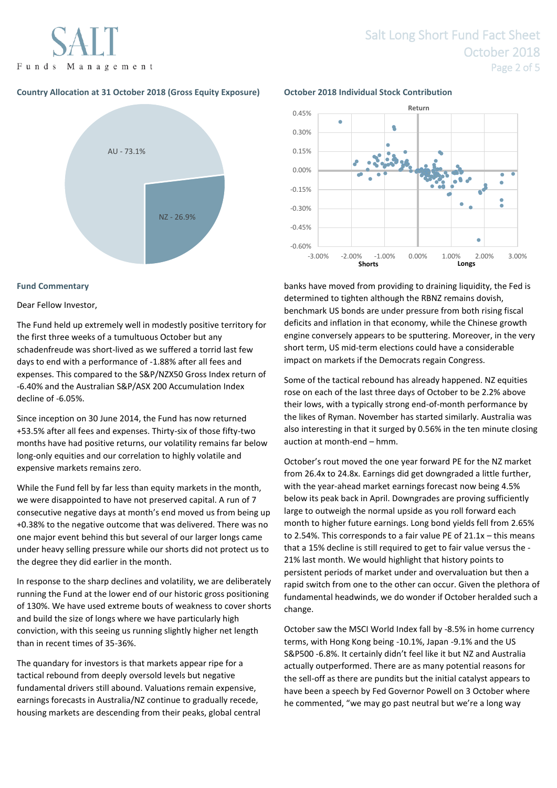Funds Management

# **Country Allocation at 31 October 2018 (Gross Equity Exposure) October 2018 Individual Stock Contribution**



### **Fund Commentary**

#### Dear Fellow Investor,

The Fund held up extremely well in modestly positive territory for the first three weeks of a tumultuous October but any schadenfreude was short-lived as we suffered a torrid last few days to end with a performance of -1.88% after all fees and expenses. This compared to the S&P/NZX50 Gross Index return of -6.40% and the Australian S&P/ASX 200 Accumulation Index decline of -6.05%.

Since inception on 30 June 2014, the Fund has now returned +53.5% after all fees and expenses. Thirty-six of those fifty-two months have had positive returns, our volatility remains far below long-only equities and our correlation to highly volatile and expensive markets remains zero.

While the Fund fell by far less than equity markets in the month, we were disappointed to have not preserved capital. A run of 7 consecutive negative days at month's end moved us from being up +0.38% to the negative outcome that was delivered. There was no one major event behind this but several of our larger longs came under heavy selling pressure while our shorts did not protect us to the degree they did earlier in the month.

In response to the sharp declines and volatility, we are deliberately running the Fund at the lower end of our historic gross positioning of 130%. We have used extreme bouts of weakness to cover shorts and build the size of longs where we have particularly high conviction, with this seeing us running slightly higher net length than in recent times of 35-36%.

The quandary for investors is that markets appear ripe for a tactical rebound from deeply oversold levels but negative fundamental drivers still abound. Valuations remain expensive, earnings forecasts in Australia/NZ continue to gradually recede, housing markets are descending from their peaks, global central



banks have moved from providing to draining liquidity, the Fed is determined to tighten although the RBNZ remains dovish, benchmark US bonds are under pressure from both rising fiscal deficits and inflation in that economy, while the Chinese growth engine conversely appears to be sputtering. Moreover, in the very short term, US mid-term elections could have a considerable impact on markets if the Democrats regain Congress.

Some of the tactical rebound has already happened. NZ equities rose on each of the last three days of October to be 2.2% above their lows, with a typically strong end-of-month performance by the likes of Ryman. November has started similarly. Australia was also interesting in that it surged by 0.56% in the ten minute closing auction at month-end – hmm.

October's rout moved the one year forward PE for the NZ market from 26.4x to 24.8x. Earnings did get downgraded a little further, with the year-ahead market earnings forecast now being 4.5% below its peak back in April. Downgrades are proving sufficiently large to outweigh the normal upside as you roll forward each month to higher future earnings. Long bond yields fell from 2.65% to 2.54%. This corresponds to a fair value PE of 21.1x – this means that a 15% decline is still required to get to fair value versus the - 21% last month. We would highlight that history points to persistent periods of market under and overvaluation but then a rapid switch from one to the other can occur. Given the plethora of fundamental headwinds, we do wonder if October heralded such a change.

October saw the MSCI World Index fall by -8.5% in home currency terms, with Hong Kong being -10.1%, Japan -9.1% and the US S&P500 -6.8%. It certainly didn't feel like it but NZ and Australia actually outperformed. There are as many potential reasons for the sell-off as there are pundits but the initial catalyst appears to have been a speech by Fed Governor Powell on 3 October where he commented, "we may go past neutral but we're a long way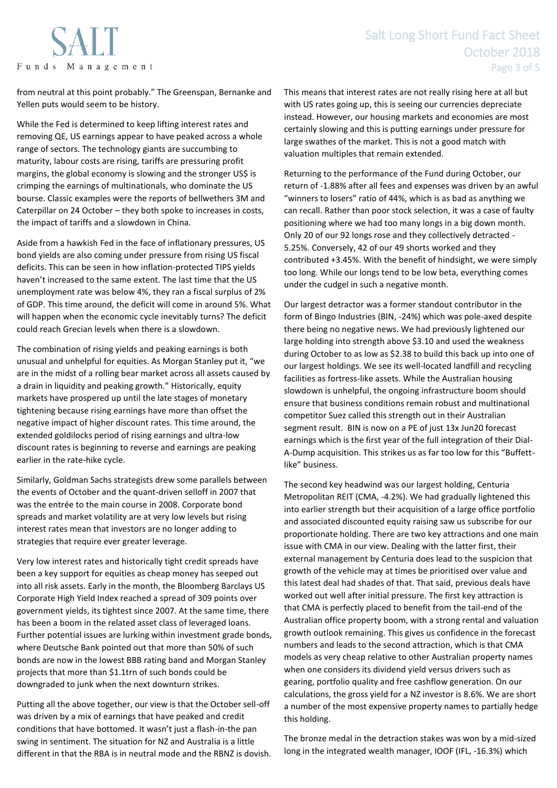Funds Management

from neutral at this point probably." The Greenspan, Bernanke and Yellen puts would seem to be history.

While the Fed is determined to keep lifting interest rates and removing QE, US earnings appear to have peaked across a whole range of sectors. The technology giants are succumbing to maturity, labour costs are rising, tariffs are pressuring profit margins, the global economy is slowing and the stronger US\$ is crimping the earnings of multinationals, who dominate the US bourse. Classic examples were the reports of bellwethers 3M and Caterpillar on 24 October – they both spoke to increases in costs, the impact of tariffs and a slowdown in China.

Aside from a hawkish Fed in the face of inflationary pressures, US bond yields are also coming under pressure from rising US fiscal deficits. This can be seen in how inflation-protected TIPS yields haven't increased to the same extent. The last time that the US unemployment rate was below 4%, they ran a fiscal surplus of 2% of GDP. This time around, the deficit will come in around 5%. What will happen when the economic cycle inevitably turns? The deficit could reach Grecian levels when there is a slowdown.

The combination of rising yields and peaking earnings is both unusual and unhelpful for equities. As Morgan Stanley put it, "we are in the midst of a rolling bear market across all assets caused by a drain in liquidity and peaking growth." Historically, equity markets have prospered up until the late stages of monetary tightening because rising earnings have more than offset the negative impact of higher discount rates. This time around, the extended goldilocks period of rising earnings and ultra-low discount rates is beginning to reverse and earnings are peaking earlier in the rate-hike cycle.

Similarly, Goldman Sachs strategists drew some parallels between the events of October and the quant-driven selloff in 2007 that was the entrée to the main course in 2008. Corporate bond spreads and market volatility are at very low levels but rising interest rates mean that investors are no longer adding to strategies that require ever greater leverage.

Very low interest rates and historically tight credit spreads have been a key support for equities as cheap money has seeped out into all risk assets. Early in the month, the Bloomberg Barclays US Corporate High Yield Index reached a spread of 309 points over government yields, its tightest since 2007. At the same time, there has been a boom in the related asset class of leveraged loans. Further potential issues are lurking within investment grade bonds, where Deutsche Bank pointed out that more than 50% of such bonds are now in the lowest BBB rating band and Morgan Stanley projects that more than \$1.1trn of such bonds could be downgraded to junk when the next downturn strikes.

Putting all the above together, our view is that the October sell-off was driven by a mix of earnings that have peaked and credit conditions that have bottomed. It wasn't just a flash-in-the pan swing in sentiment. The situation for NZ and Australia is a little different in that the RBA is in neutral mode and the RBNZ is dovish. This means that interest rates are not really rising here at all but with US rates going up, this is seeing our currencies depreciate instead. However, our housing markets and economies are most certainly slowing and this is putting earnings under pressure for large swathes of the market. This is not a good match with valuation multiples that remain extended.

Returning to the performance of the Fund during October, our return of -1.88% after all fees and expenses was driven by an awful "winners to losers" ratio of 44%, which is as bad as anything we can recall. Rather than poor stock selection, it was a case of faulty positioning where we had too many longs in a big down month. Only 20 of our 92 longs rose and they collectively detracted - 5.25%. Conversely, 42 of our 49 shorts worked and they contributed +3.45%. With the benefit of hindsight, we were simply too long. While our longs tend to be low beta, everything comes under the cudgel in such a negative month.

Our largest detractor was a former standout contributor in the form of Bingo Industries (BIN, -24%) which was pole-axed despite there being no negative news. We had previously lightened our large holding into strength above \$3.10 and used the weakness during October to as low as \$2.38 to build this back up into one of our largest holdings. We see its well-located landfill and recycling facilities as fortress-like assets. While the Australian housing slowdown is unhelpful, the ongoing infrastructure boom should ensure that business conditions remain robust and multinational competitor Suez called this strength out in their Australian segment result. BIN is now on a PE of just 13x Jun20 forecast earnings which is the first year of the full integration of their Dial-A-Dump acquisition. This strikes us as far too low for this "Buffettlike" business.

The second key headwind was our largest holding, Centuria Metropolitan REIT (CMA, -4.2%). We had gradually lightened this into earlier strength but their acquisition of a large office portfolio and associated discounted equity raising saw us subscribe for our proportionate holding. There are two key attractions and one main issue with CMA in our view. Dealing with the latter first, their external management by Centuria does lead to the suspicion that growth of the vehicle may at times be prioritised over value and this latest deal had shades of that. That said, previous deals have worked out well after initial pressure. The first key attraction is that CMA is perfectly placed to benefit from the tail-end of the Australian office property boom, with a strong rental and valuation growth outlook remaining. This gives us confidence in the forecast numbers and leads to the second attraction, which is that CMA models as very cheap relative to other Australian property names when one considers its dividend yield versus drivers such as gearing, portfolio quality and free cashflow generation. On our calculations, the gross yield for a NZ investor is 8.6%. We are short a number of the most expensive property names to partially hedge this holding.

The bronze medal in the detraction stakes was won by a mid-sized long in the integrated wealth manager, IOOF (IFL, -16.3%) which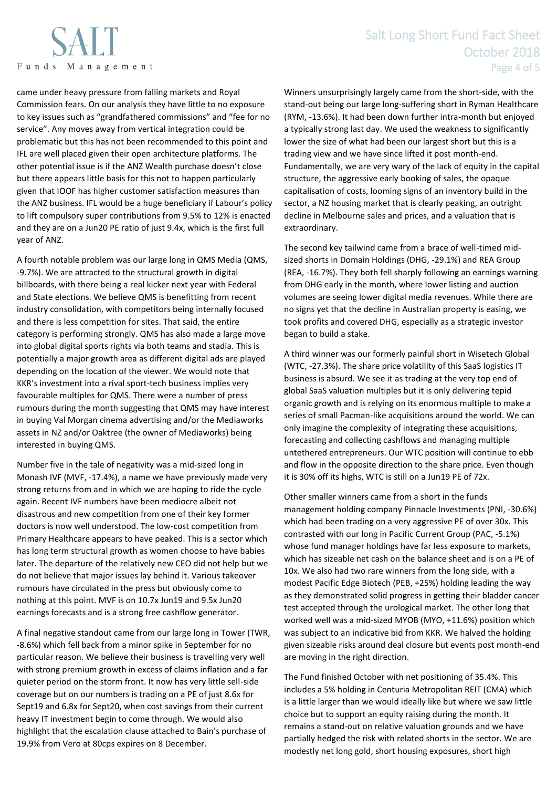

# Salt Long Short Fund Fact Sheet October 2018 Page 4 of 5

came under heavy pressure from falling markets and Royal Commission fears. On our analysis they have little to no exposure to key issues such as "grandfathered commissions" and "fee for no service". Any moves away from vertical integration could be problematic but this has not been recommended to this point and IFL are well placed given their open architecture platforms. The other potential issue is if the ANZ Wealth purchase doesn't close but there appears little basis for this not to happen particularly given that IOOF has higher customer satisfaction measures than the ANZ business. IFL would be a huge beneficiary if Labour's policy to lift compulsory super contributions from 9.5% to 12% is enacted and they are on a Jun20 PE ratio of just 9.4x, which is the first full year of ANZ.

A fourth notable problem was our large long in QMS Media (QMS, -9.7%). We are attracted to the structural growth in digital billboards, with there being a real kicker next year with Federal and State elections. We believe QMS is benefitting from recent industry consolidation, with competitors being internally focused and there is less competition for sites. That said, the entire category is performing strongly. QMS has also made a large move into global digital sports rights via both teams and stadia. This is potentially a major growth area as different digital ads are played depending on the location of the viewer. We would note that KKR's investment into a rival sport-tech business implies very favourable multiples for QMS. There were a number of press rumours during the month suggesting that QMS may have interest in buying Val Morgan cinema advertising and/or the Mediaworks assets in NZ and/or Oaktree (the owner of Mediaworks) being interested in buying QMS.

Number five in the tale of negativity was a mid-sized long in Monash IVF (MVF, -17.4%), a name we have previously made very strong returns from and in which we are hoping to ride the cycle again. Recent IVF numbers have been mediocre albeit not disastrous and new competition from one of their key former doctors is now well understood. The low-cost competition from Primary Healthcare appears to have peaked. This is a sector which has long term structural growth as women choose to have babies later. The departure of the relatively new CEO did not help but we do not believe that major issues lay behind it. Various takeover rumours have circulated in the press but obviously come to nothing at this point. MVF is on 10.7x Jun19 and 9.5x Jun20 earnings forecasts and is a strong free cashflow generator.

A final negative standout came from our large long in Tower (TWR, -8.6%) which fell back from a minor spike in September for no particular reason. We believe their business is travelling very well with strong premium growth in excess of claims inflation and a far quieter period on the storm front. It now has very little sell-side coverage but on our numbers is trading on a PE of just 8.6x for Sept19 and 6.8x for Sept20, when cost savings from their current heavy IT investment begin to come through. We would also highlight that the escalation clause attached to Bain's purchase of 19.9% from Vero at 80cps expires on 8 December.

Winners unsurprisingly largely came from the short-side, with the stand-out being our large long-suffering short in Ryman Healthcare (RYM, -13.6%). It had been down further intra-month but enjoyed a typically strong last day. We used the weakness to significantly lower the size of what had been our largest short but this is a trading view and we have since lifted it post month-end. Fundamentally, we are very wary of the lack of equity in the capital structure, the aggressive early booking of sales, the opaque capitalisation of costs, looming signs of an inventory build in the sector, a NZ housing market that is clearly peaking, an outright decline in Melbourne sales and prices, and a valuation that is extraordinary.

The second key tailwind came from a brace of well-timed midsized shorts in Domain Holdings (DHG, -29.1%) and REA Group (REA, -16.7%). They both fell sharply following an earnings warning from DHG early in the month, where lower listing and auction volumes are seeing lower digital media revenues. While there are no signs yet that the decline in Australian property is easing, we took profits and covered DHG, especially as a strategic investor began to build a stake.

A third winner was our formerly painful short in Wisetech Global (WTC, -27.3%). The share price volatility of this SaaS logistics IT business is absurd. We see it as trading at the very top end of global SaaS valuation multiples but it is only delivering tepid organic growth and is relying on its enormous multiple to make a series of small Pacman-like acquisitions around the world. We can only imagine the complexity of integrating these acquisitions, forecasting and collecting cashflows and managing multiple untethered entrepreneurs. Our WTC position will continue to ebb and flow in the opposite direction to the share price. Even though it is 30% off its highs, WTC is still on a Jun19 PE of 72x.

Other smaller winners came from a short in the funds management holding company Pinnacle Investments (PNI, -30.6%) which had been trading on a very aggressive PE of over 30x. This contrasted with our long in Pacific Current Group (PAC, -5.1%) whose fund manager holdings have far less exposure to markets, which has sizeable net cash on the balance sheet and is on a PE of 10x. We also had two rare winners from the long side, with a modest Pacific Edge Biotech (PEB, +25%) holding leading the way as they demonstrated solid progress in getting their bladder cancer test accepted through the urological market. The other long that worked well was a mid-sized MYOB (MYO, +11.6%) position which was subject to an indicative bid from KKR. We halved the holding given sizeable risks around deal closure but events post month-end are moving in the right direction.

The Fund finished October with net positioning of 35.4%. This includes a 5% holding in Centuria Metropolitan REIT (CMA) which is a little larger than we would ideally like but where we saw little choice but to support an equity raising during the month. It remains a stand-out on relative valuation grounds and we have partially hedged the risk with related shorts in the sector. We are modestly net long gold, short housing exposures, short high